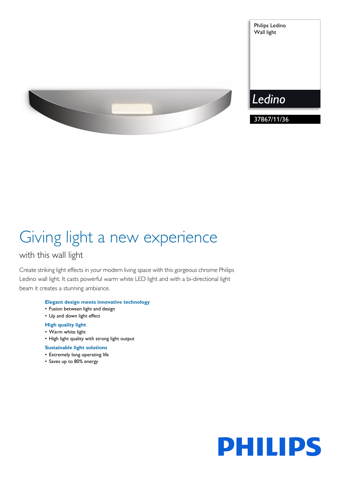

# Giving light a new experience

## with this wall light

Create striking light effects in your modern living space with this gorgeous chrome Philips Ledino wall light. It casts powerful warm white LED light and with a bi-directional light beam it creates a stunning ambiance.

### **Elegant design meets innovative technology**

- Fusion between light and design
- Up and down light effect

### **High quality light**

- Warm white light
- High light quality with strong light output

### **Sustainable light solutions**

- Extremely long operating life
- Saves up to 80% energy



Philips Ledino Wall light